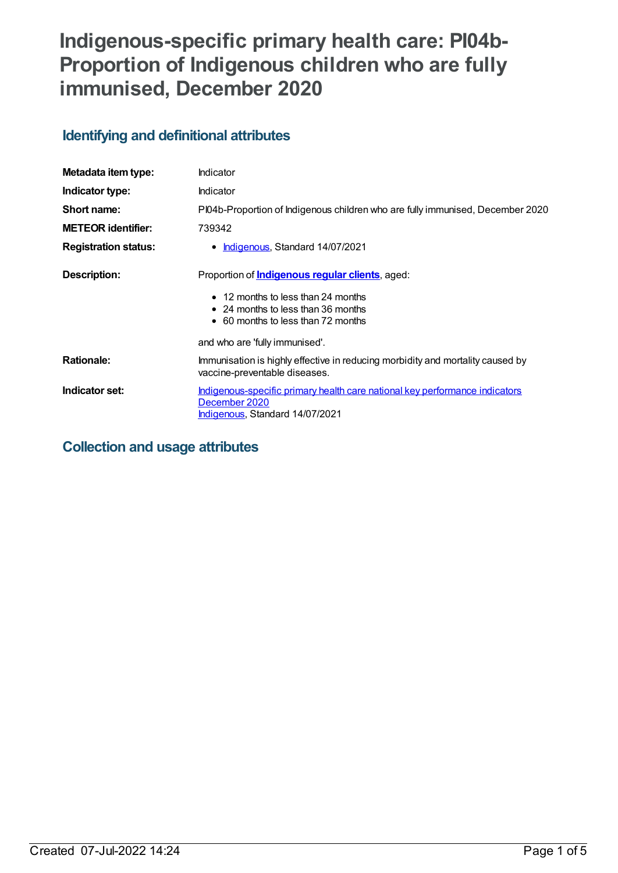# **Indigenous-specific primary health care: PI04b-Proportion of Indigenous children who are fully immunised, December 2020**

# **Identifying and definitional attributes**

| Metadata item type:         | Indicator                                                                                                                              |
|-----------------------------|----------------------------------------------------------------------------------------------------------------------------------------|
| Indicator type:             | Indicator                                                                                                                              |
| Short name:                 | PI04b-Proportion of Indigenous children who are fully immunised, December 2020                                                         |
| <b>METEOR identifier:</b>   | 739342                                                                                                                                 |
| <b>Registration status:</b> | Indigenous, Standard 14/07/2021                                                                                                        |
| Description:                | Proportion of <i>Indigenous regular clients</i> , aged:<br>• 12 months to less than 24 months<br>• 24 months to less than 36 months    |
|                             | • 60 months to less than 72 months                                                                                                     |
|                             | and who are 'fully immunised'.                                                                                                         |
| <b>Rationale:</b>           | Immunisation is highly effective in reducing morbidity and mortality caused by<br>vaccine-preventable diseases.                        |
| Indicator set:              | <u>Indigenous-specific primary health care national key performance indicators</u><br>December 2020<br>Indigenous, Standard 14/07/2021 |

# **Collection and usage attributes**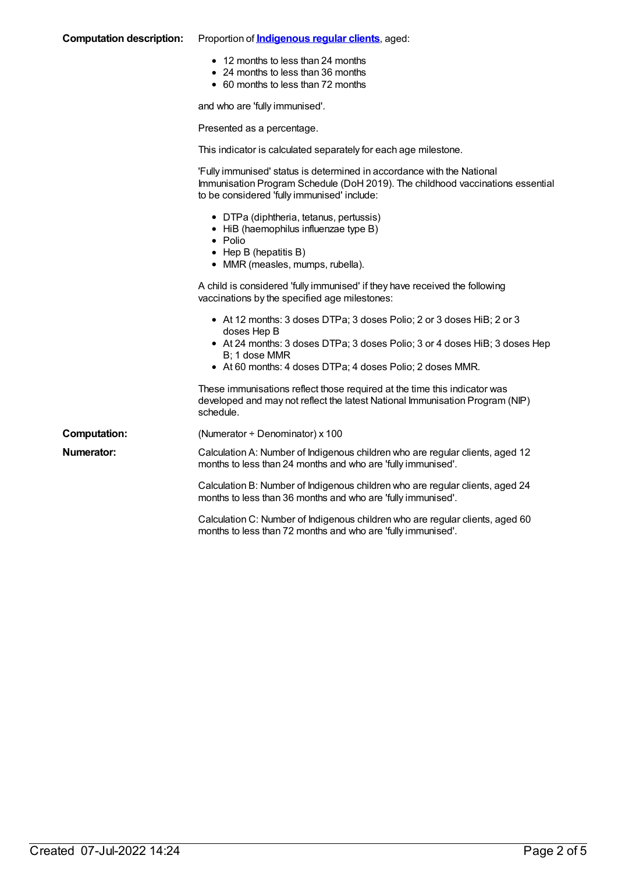| <b>Computation description:</b> | Proportion of <i>Indigenous regular clients</i> , aged:                                                                                                                                                                                          |
|---------------------------------|--------------------------------------------------------------------------------------------------------------------------------------------------------------------------------------------------------------------------------------------------|
|                                 | • 12 months to less than 24 months<br>• 24 months to less than 36 months<br>• 60 months to less than 72 months                                                                                                                                   |
|                                 | and who are 'fully immunised'.                                                                                                                                                                                                                   |
|                                 | Presented as a percentage.                                                                                                                                                                                                                       |
|                                 | This indicator is calculated separately for each age milestone.                                                                                                                                                                                  |
|                                 | 'Fully immunised' status is determined in accordance with the National<br>Immunisation Program Schedule (DoH 2019). The childhood vaccinations essential<br>to be considered 'fully immunised' include:                                          |
|                                 | • DTPa (diphtheria, tetanus, pertussis)<br>• HiB (haemophilus influenzae type B)<br>• Polio<br>$\bullet$ Hep B (hepatitis B)<br>• MMR (measles, mumps, rubella).                                                                                 |
|                                 | A child is considered 'fully immunised' if they have received the following<br>vaccinations by the specified age milestones:                                                                                                                     |
|                                 | • At 12 months: 3 doses DTPa; 3 doses Polio; 2 or 3 doses HiB; 2 or 3<br>doses Hep B<br>• At 24 months: 3 doses DTPa; 3 doses Polio; 3 or 4 doses HiB; 3 doses Hep<br>B; 1 dose MMR<br>• At 60 months: 4 doses DTPa; 4 doses Polio; 2 doses MMR. |
|                                 | These immunisations reflect those required at the time this indicator was<br>developed and may not reflect the latest National Immunisation Program (NIP)<br>schedule.                                                                           |
| <b>Computation:</b>             | (Numerator + Denominator) x 100                                                                                                                                                                                                                  |
| <b>Numerator:</b>               | Calculation A: Number of Indigenous children who are regular clients, aged 12<br>months to less than 24 months and who are 'fully immunised'.                                                                                                    |
|                                 | Calculation B: Number of Indigenous children who are regular clients, aged 24<br>months to less than 36 months and who are 'fully immunised'.                                                                                                    |
|                                 | Calculation C: Number of Indigenous children who are regular clients, aged 60<br>months to less than 72 months and who are 'fully immunised'.                                                                                                    |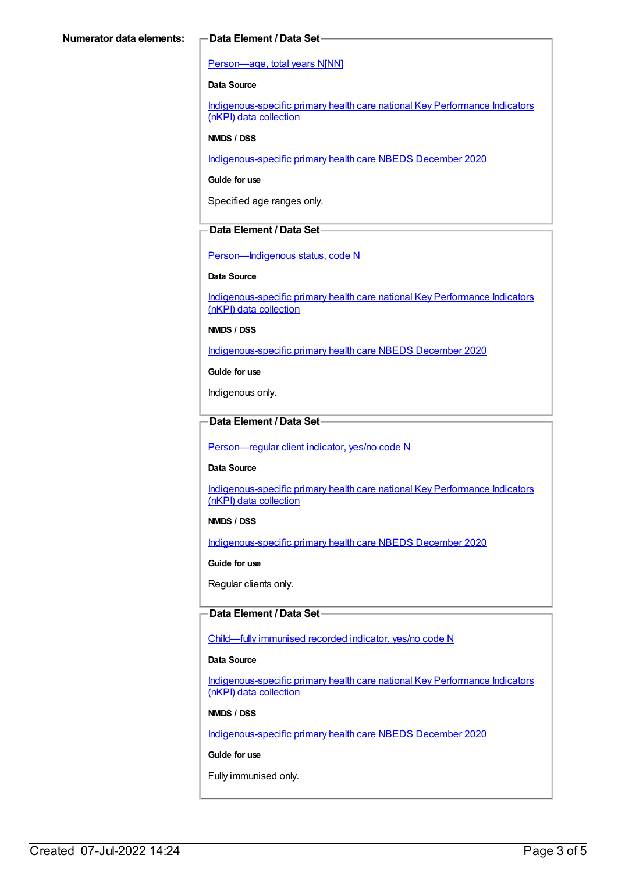#### [Person—age,](https://meteor.aihw.gov.au/content/303794) total years N[NN]

#### **Data Source**

[Indigenous-specific](https://meteor.aihw.gov.au/content/737914) primary health care national Key Performance Indicators (nKPI) data collection

#### **NMDS / DSS**

[Indigenous-specific](https://meteor.aihw.gov.au/content/738532) primary health care NBEDS December 2020

#### **Guide for use**

Specified age ranges only.

#### **Data Element / Data Set**

[Person—Indigenous](https://meteor.aihw.gov.au/content/602543) status, code N

#### **Data Source**

[Indigenous-specific](https://meteor.aihw.gov.au/content/737914) primary health care national Key Performance Indicators (nKPI) data collection

**NMDS / DSS**

[Indigenous-specific](https://meteor.aihw.gov.au/content/738532) primary health care NBEDS December 2020

**Guide for use**

Indigenous only.

### **Data Element / Data Set**

[Person—regular](https://meteor.aihw.gov.au/content/686291) client indicator, yes/no code N

#### **Data Source**

[Indigenous-specific](https://meteor.aihw.gov.au/content/737914) primary health care national Key Performance Indicators (nKPI) data collection

#### **NMDS / DSS**

[Indigenous-specific](https://meteor.aihw.gov.au/content/738532) primary health care NBEDS December 2020

**Guide for use**

Regular clients only.

#### **Data Element / Data Set**

[Child—fully](https://meteor.aihw.gov.au/content/720830) immunised recorded indicator, yes/no code N

#### **Data Source**

[Indigenous-specific](https://meteor.aihw.gov.au/content/737914) primary health care national Key Performance Indicators (nKPI) data collection

#### **NMDS / DSS**

[Indigenous-specific](https://meteor.aihw.gov.au/content/738532) primary health care NBEDS December 2020

#### **Guide for use**

Fully immunised only.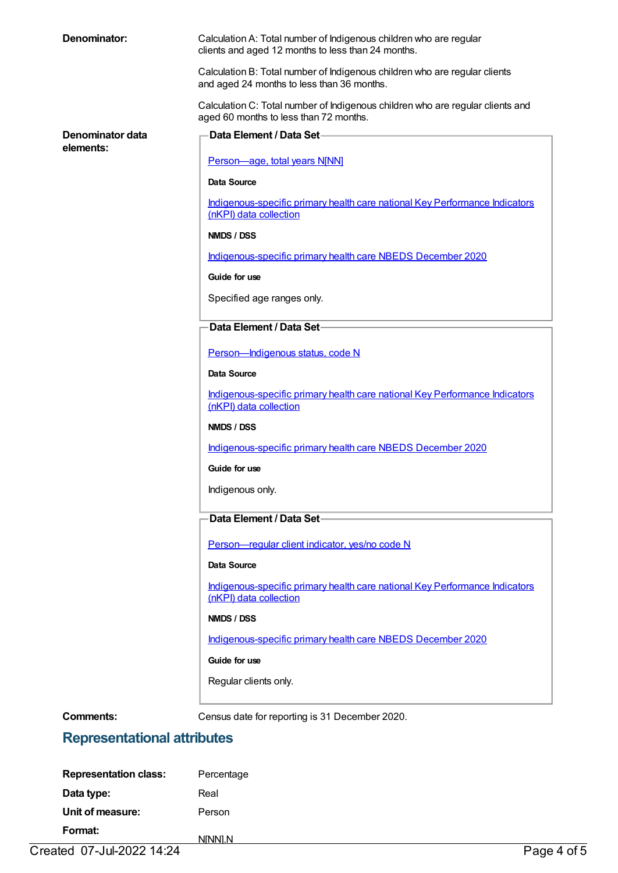| Denominator:                  | Calculation A: Total number of Indigenous children who are regular<br>clients and aged 12 months to less than 24 months. |
|-------------------------------|--------------------------------------------------------------------------------------------------------------------------|
|                               | Calculation B: Total number of Indigenous children who are regular clients<br>and aged 24 months to less than 36 months. |
|                               | Calculation C: Total number of Indigenous children who are regular clients and<br>aged 60 months to less than 72 months. |
| Denominator data<br>elements: | Data Element / Data Set-                                                                                                 |
|                               | Person-age, total years N[NN]                                                                                            |
|                               | <b>Data Source</b>                                                                                                       |
|                               | Indigenous-specific primary health care national Key Performance Indicators<br>(nKPI) data collection                    |
|                               | NMDS / DSS                                                                                                               |
|                               | Indigenous-specific primary health care NBEDS December 2020                                                              |
|                               | Guide for use                                                                                                            |
|                               | Specified age ranges only.                                                                                               |
|                               | Data Element / Data Set-                                                                                                 |
|                               | Person-Indigenous status, code N                                                                                         |
|                               | Data Source                                                                                                              |
|                               | Indigenous-specific primary health care national Key Performance Indicators<br>(nKPI) data collection                    |
|                               | NMDS / DSS                                                                                                               |
|                               | Indigenous-specific primary health care NBEDS December 2020                                                              |
|                               | Guide for use                                                                                                            |
|                               | Indigenous only.                                                                                                         |
|                               | Data Element / Data Set-                                                                                                 |
|                               | Person-regular client indicator, yes/no code N                                                                           |
|                               | Data Source                                                                                                              |
|                               | Indigenous-specific primary health care national Key Performance Indicators<br>(nKPI) data collection                    |
|                               | NMDS / DSS                                                                                                               |
|                               | Indigenous-specific primary health care NBEDS December 2020                                                              |
|                               | Guide for use                                                                                                            |
|                               | Regular clients only.                                                                                                    |
| <b>Comments:</b>              | Census date for reporting is 31 December 2020.                                                                           |

# **Representational attributes**

| Format:                      | NINNI.N    |
|------------------------------|------------|
| Unit of measure:             | Person     |
| Data type:                   | Real       |
| <b>Representation class:</b> | Percentage |